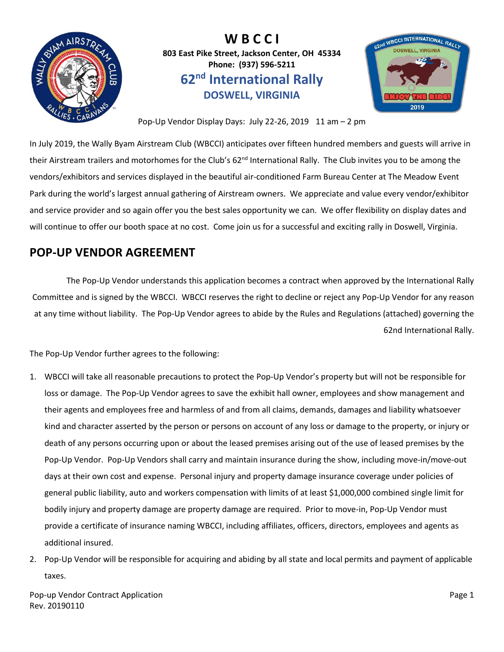

**W B C C I 803 East Pike Street, Jackson Center, OH 45334 Phone: (937) 596-5211 62nd International Rally DOSWELL, VIRGINIA**



Pop-Up Vendor Display Days: July 22-26, 2019 11 am - 2 pm

In July 2019, the Wally Byam Airstream Club (WBCCI) anticipates over fifteen hundred members and guests will arrive in their Airstream trailers and motorhomes for the Club's 62<sup>nd</sup> International Rally. The Club invites you to be among the vendors/exhibitors and services displayed in the beautiful air-conditioned Farm Bureau Center at The Meadow Event Park during the world's largest annual gathering of Airstream owners. We appreciate and value every vendor/exhibitor and service provider and so again offer you the best sales opportunity we can. We offer flexibility on display dates and will continue to offer our booth space at no cost. Come join us for a successful and exciting rally in Doswell, Virginia.

# **POP-UP VENDOR AGREEMENT**

The Pop-Up Vendor understands this application becomes a contract when approved by the International Rally Committee and is signed by the WBCCI. WBCCI reserves the right to decline or reject any Pop-Up Vendor for any reason at any time without liability. The Pop-Up Vendor agrees to abide by the Rules and Regulations (attached) governing the 62nd International Rally.

The Pop-Up Vendor further agrees to the following:

- 1. WBCCI will take all reasonable precautions to protect the Pop-Up Vendor's property but will not be responsible for loss or damage. The Pop-Up Vendor agrees to save the exhibit hall owner, employees and show management and their agents and employees free and harmless of and from all claims, demands, damages and liability whatsoever kind and character asserted by the person or persons on account of any loss or damage to the property, or injury or death of any persons occurring upon or about the leased premises arising out of the use of leased premises by the Pop-Up Vendor. Pop-Up Vendors shall carry and maintain insurance during the show, including move-in/move-out days at their own cost and expense. Personal injury and property damage insurance coverage under policies of general public liability, auto and workers compensation with limits of at least \$1,000,000 combined single limit for bodily injury and property damage are property damage are required. Prior to move-in, Pop-Up Vendor must provide a certificate of insurance naming WBCCI, including affiliates, officers, directors, employees and agents as additional insured.
- 2. Pop-Up Vendor will be responsible for acquiring and abiding by all state and local permits and payment of applicable taxes.

Pop-up Vendor Contract Application **Page 1** and the page 1 and the page 1 and the page 1 Rev. 20190110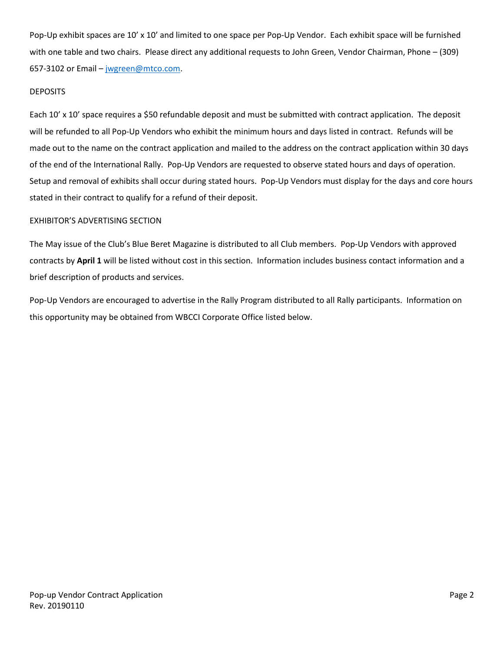Pop-Up exhibit spaces are 10' x 10' and limited to one space per Pop-Up Vendor. Each exhibit space will be furnished with one table and two chairs. Please direct any additional requests to John Green, Vendor Chairman, Phone – (309) 657-3102 or Email – [jwgreen@mtco.com.](mailto:jwgreen@mtco.com?subject=Vendor)

#### DEPOSITS

Each 10' x 10' space requires a \$50 refundable deposit and must be submitted with contract application. The deposit will be refunded to all Pop-Up Vendors who exhibit the minimum hours and days listed in contract. Refunds will be made out to the name on the contract application and mailed to the address on the contract application within 30 days of the end of the International Rally. Pop-Up Vendors are requested to observe stated hours and days of operation. Setup and removal of exhibits shall occur during stated hours. Pop-Up Vendors must display for the days and core hours stated in their contract to qualify for a refund of their deposit.

## EXHIBITOR'S ADVERTISING SECTION

The May issue of the Club's Blue Beret Magazine is distributed to all Club members. Pop-Up Vendors with approved contracts by **April 1** will be listed without cost in this section. Information includes business contact information and a brief description of products and services.

Pop-Up Vendors are encouraged to advertise in the Rally Program distributed to all Rally participants. Information on this opportunity may be obtained from WBCCI Corporate Office listed below.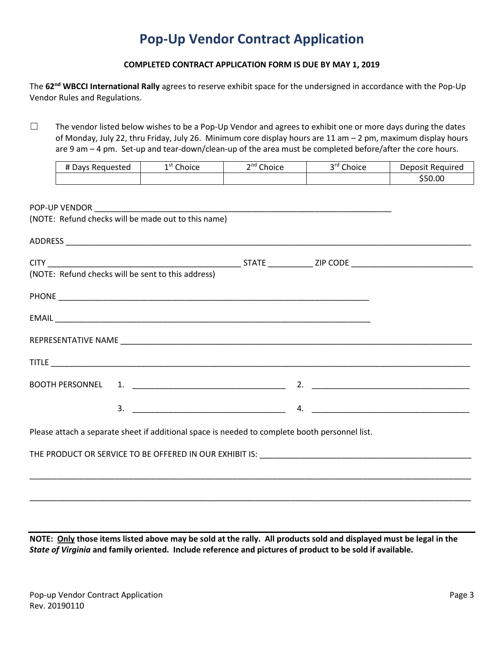# **Pop-Up Vendor Contract Application**

## **COMPLETED CONTRACT APPLICATION FORM IS DUE BY MAY 1, 2019**

The **62nd WBCCI International Rally** agrees to reserve exhibit space for the undersigned in accordance with the Pop-Up Vendor Rules and Regulations.

☐ The vendor listed below wishes to be a Pop-Up Vendor and agrees to exhibit one or more days during the dates of Monday, July 22, thru Friday, July 26. Minimum core display hours are 11 am – 2 pm, maximum display hours are 9 am – 4 pm. Set-up and tear-down/clean-up of the area must be completed before/after the core hours.

| # Davs Requested | Choice<br>1 st | $\mathsf{and} \; \mathsf{r}$<br>Choice | 3rd Choice | Deposit Required |
|------------------|----------------|----------------------------------------|------------|------------------|
|                  |                |                                        |            | \$50.00          |

| (NOTE: Refund checks will be made out to this name)                                            |  |  |
|------------------------------------------------------------------------------------------------|--|--|
|                                                                                                |  |  |
|                                                                                                |  |  |
|                                                                                                |  |  |
|                                                                                                |  |  |
|                                                                                                |  |  |
|                                                                                                |  |  |
|                                                                                                |  |  |
|                                                                                                |  |  |
|                                                                                                |  |  |
| Please attach a separate sheet if additional space is needed to complete booth personnel list. |  |  |
|                                                                                                |  |  |
|                                                                                                |  |  |
|                                                                                                |  |  |

**NOTE: Only those items listed above may be sold at the rally. All products sold and displayed must be legal in the**  *State of Virginia* **and family oriented. Include reference and pictures of product to be sold if available.**

\_\_\_\_\_\_\_\_\_\_\_\_\_\_\_\_\_\_\_\_\_\_\_\_\_\_\_\_\_\_\_\_\_\_\_\_\_\_\_\_\_\_\_\_\_\_\_\_\_\_\_\_\_\_\_\_\_\_\_\_\_\_\_\_\_\_\_\_\_\_\_\_\_\_\_\_\_\_\_\_\_\_\_\_\_\_\_\_\_\_\_\_\_\_\_\_\_\_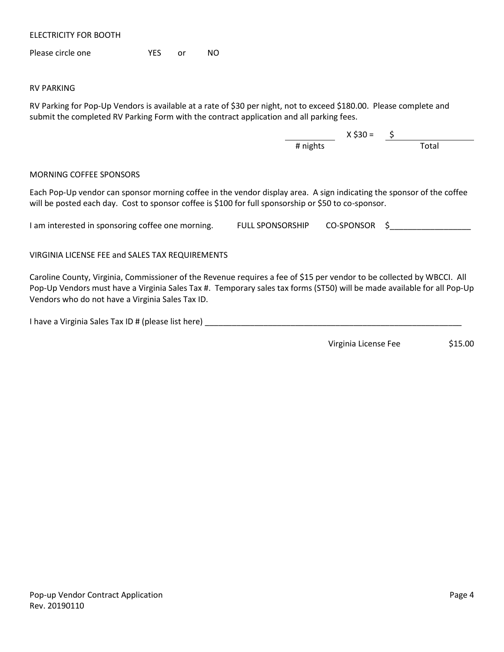ELECTRICITY FOR BOOTH

Please circle one **YES** or NO

#### RV PARKING

RV Parking for Pop-Up Vendors is available at a rate of \$30 per night, not to exceed \$180.00. Please complete and submit the completed RV Parking Form with the contract application and all parking fees.

> X \$30 = \$ # nights Total

#### MORNING COFFEE SPONSORS

Each Pop-Up vendor can sponsor morning coffee in the vendor display area. A sign indicating the sponsor of the coffee will be posted each day. Cost to sponsor coffee is \$100 for full sponsorship or \$50 to co-sponsor.

I am interested in sponsoring coffee one morning. THE SPONSORSHIP CO-SPONSOR \$

VIRGINIA LICENSE FEE and SALES TAX REQUIREMENTS

Caroline County, Virginia, Commissioner of the Revenue requires a fee of \$15 per vendor to be collected by WBCCI. All Pop-Up Vendors must have a Virginia Sales Tax #. Temporary sales tax forms (ST50) will be made available for all Pop-Up Vendors who do not have a Virginia Sales Tax ID.

I have a Virginia Sales Tax ID # (please list here) \_\_\_\_\_\_\_\_\_\_\_\_\_\_\_\_\_\_\_\_\_\_\_\_\_\_\_\_

Virginia License Fee \$15.00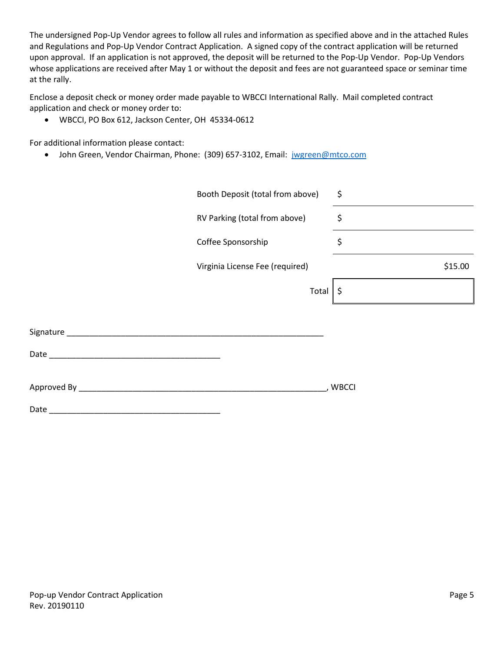The undersigned Pop-Up Vendor agrees to follow all rules and information as specified above and in the attached Rules and Regulations and Pop-Up Vendor Contract Application. A signed copy of the contract application will be returned upon approval. If an application is not approved, the deposit will be returned to the Pop-Up Vendor. Pop-Up Vendors whose applications are received after May 1 or without the deposit and fees are not guaranteed space or seminar time at the rally.

Enclose a deposit check or money order made payable to WBCCI International Rally. Mail completed contract application and check or money order to:

• WBCCI, PO Box 612, Jackson Center, OH 45334-0612

For additional information please contact:

• John Green, Vendor Chairman, Phone: (309) 657-3102, Email: [jwgreen@mtco.com](mailto:jwgreen@mtco.com?subject=Vendor)

| Booth Deposit (total from above) | \$      |
|----------------------------------|---------|
| RV Parking (total from above)    | \$      |
| Coffee Sponsorship               | \$      |
| Virginia License Fee (required)  | \$15.00 |
| Total                            | \$      |
|                                  |         |
|                                  |         |
|                                  |         |
|                                  | , WBCCI |
|                                  |         |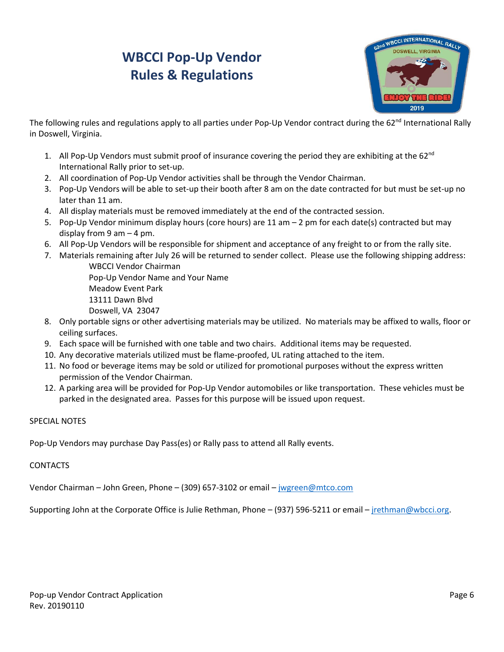# **WBCCI Pop-Up Vendor Rules & Regulations**



The following rules and regulations apply to all parties under Pop-Up Vendor contract during the 62<sup>nd</sup> International Rally in Doswell, Virginia.

- 1. All Pop-Up Vendors must submit proof of insurance covering the period they are exhibiting at the 62<sup>nd</sup> International Rally prior to set-up.
- 2. All coordination of Pop-Up Vendor activities shall be through the Vendor Chairman.
- 3. Pop-Up Vendors will be able to set-up their booth after 8 am on the date contracted for but must be set-up no later than 11 am.
- 4. All display materials must be removed immediately at the end of the contracted session.
- 5. Pop-Up Vendor minimum display hours (core hours) are 11 am 2 pm for each date(s) contracted but may display from 9 am  $-$  4 pm.
- 6. All Pop-Up Vendors will be responsible for shipment and acceptance of any freight to or from the rally site.
- 7. Materials remaining after July 26 will be returned to sender collect. Please use the following shipping address: WBCCI Vendor Chairman

Pop-Up Vendor Name and Your Name Meadow Event Park 13111 Dawn Blvd Doswell, VA 23047

- 8. Only portable signs or other advertising materials may be utilized. No materials may be affixed to walls, floor or ceiling surfaces.
- 9. Each space will be furnished with one table and two chairs. Additional items may be requested.
- 10. Any decorative materials utilized must be flame-proofed, UL rating attached to the item.
- 11. No food or beverage items may be sold or utilized for promotional purposes without the express written permission of the Vendor Chairman.
- 12. A parking area will be provided for Pop-Up Vendor automobiles or like transportation. These vehicles must be parked in the designated area. Passes for this purpose will be issued upon request.

## SPECIAL NOTES

Pop-Up Vendors may purchase Day Pass(es) or Rally pass to attend all Rally events.

## CONTACTS

Vendor Chairman – John Green, Phone – (309) 657-3102 or email – [jwgreen@mtco.com](mailto:jwgreen@mtco.com)

Supporting John at the Corporate Office is Julie Rethman, Phone – (937) 596-5211 or email – [jrethman@wbcci.org.](mailto:jrethman@wbcci.org)